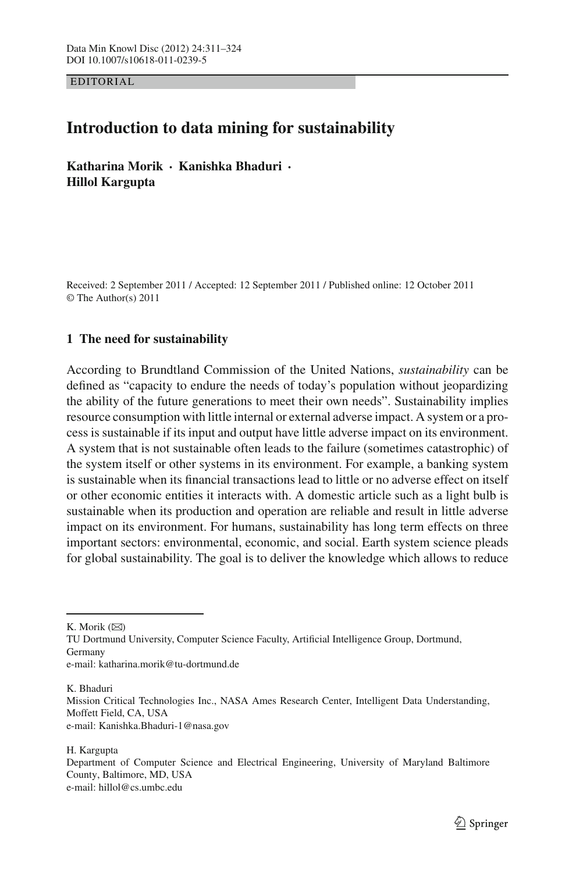EDITORIAL

# **Introduction to data mining for sustainability**

**Katharina Morik · Kanishka Bhaduri · Hillol Kargupta**

Received: 2 September 2011 / Accepted: 12 September 2011 / Published online: 12 October 2011 © The Author(s) 2011

### **1 The need for sustainability**

According to Brundtland Commission of the United Nations, *sustainability* can be defined as "capacity to endure the needs of today's population without jeopardizing the ability of the future generations to meet their own needs". Sustainability implies resource consumption with little internal or external adverse impact. A system or a process is sustainable if its input and output have little adverse impact on its environment. A system that is not sustainable often leads to the failure (sometimes catastrophic) of the system itself or other systems in its environment. For example, a banking system is sustainable when its financial transactions lead to little or no adverse effect on itself or other economic entities it interacts with. A domestic article such as a light bulb is sustainable when its production and operation are reliable and result in little adverse impact on its environment. For humans, sustainability has long term effects on three important sectors: environmental, economic, and social. Earth system science pleads for global sustainability. The goal is to deliver the knowledge which allows to reduce

K. Morik  $(\boxtimes)$ 

TU Dortmund University, Computer Science Faculty, Artificial Intelligence Group, Dortmund, Germany e-mail: katharina.morik@tu-dortmund.de

K. Bhaduri

Mission Critical Technologies Inc., NASA Ames Research Center, Intelligent Data Understanding, Moffett Field, CA, USA e-mail: Kanishka.Bhaduri-1@nasa.gov

H. Kargupta Department of Computer Science and Electrical Engineering, University of Maryland Baltimore County, Baltimore, MD, USA e-mail: hillol@cs.umbc.edu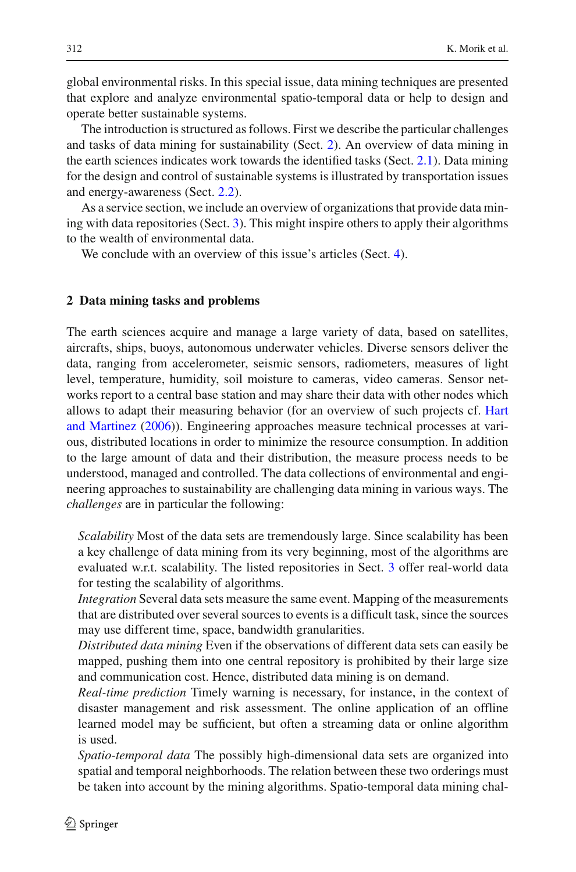global environmental risks. In this special issue, data mining techniques are presented that explore and analyze environmental spatio-temporal data or help to design and operate better sustainable systems.

The introduction is structured as follows. First we describe the particular challenges and tasks of data mining for sustainability (Sect. [2\)](#page-1-0). An overview of data mining in the earth sciences indicates work towards the identified tasks (Sect. [2.1\)](#page-3-0). Data mining for the design and control of sustainable systems is illustrated by transportation issues and energy-awareness (Sect. [2.2\)](#page-6-0).

As a service section, we include an overview of organizations that provide data mining with data repositories (Sect. [3\)](#page-7-0). This might inspire others to apply their algorithms to the wealth of environmental data.

We conclude with an overview of this issue's articles (Sect. [4\)](#page-11-0).

### <span id="page-1-0"></span>**2 Data mining tasks and problems**

The earth sciences acquire and manage a large variety of data, based on satellites, aircrafts, ships, buoys, autonomous underwater vehicles. Diverse sensors deliver the data, ranging from accelerometer, seismic sensors, radiometers, measures of light level, temperature, humidity, soil moisture to cameras, video cameras. Sensor networks report to a central base station and may share their data with other nodes which allows to ad[apt](#page-13-0) [their](#page-13-0) [measuring](#page-13-0) [behavior](#page-13-0) [\(for](#page-13-0) [an](#page-13-0) [overview](#page-13-0) [of](#page-13-0) [such](#page-13-0) [projects](#page-13-0) [cf.](#page-13-0) Hart and Martinez [\(2006\)](#page-13-0)). Engineering approaches measure technical processes at various, distributed locations in order to minimize the resource consumption. In addition to the large amount of data and their distribution, the measure process needs to be understood, managed and controlled. The data collections of environmental and engineering approaches to sustainability are challenging data mining in various ways. The *challenges* are in particular the following:

*Scalability* Most of the data sets are tremendously large. Since scalability has been a key challenge of data mining from its very beginning, most of the algorithms are evaluated w.r.t. scalability. The listed repositories in Sect. [3](#page-7-0) offer real-world data for testing the scalability of algorithms.

*Integration* Several data sets measure the same event. Mapping of the measurements that are distributed over several sources to events is a difficult task, since the sources may use different time, space, bandwidth granularities.

*Distributed data mining* Even if the observations of different data sets can easily be mapped, pushing them into one central repository is prohibited by their large size and communication cost. Hence, distributed data mining is on demand.

*Real-time prediction* Timely warning is necessary, for instance, in the context of disaster management and risk assessment. The online application of an offline learned model may be sufficient, but often a streaming data or online algorithm is used.

*Spatio-temporal data* The possibly high-dimensional data sets are organized into spatial and temporal neighborhoods. The relation between these two orderings must be taken into account by the mining algorithms. Spatio-temporal data mining chal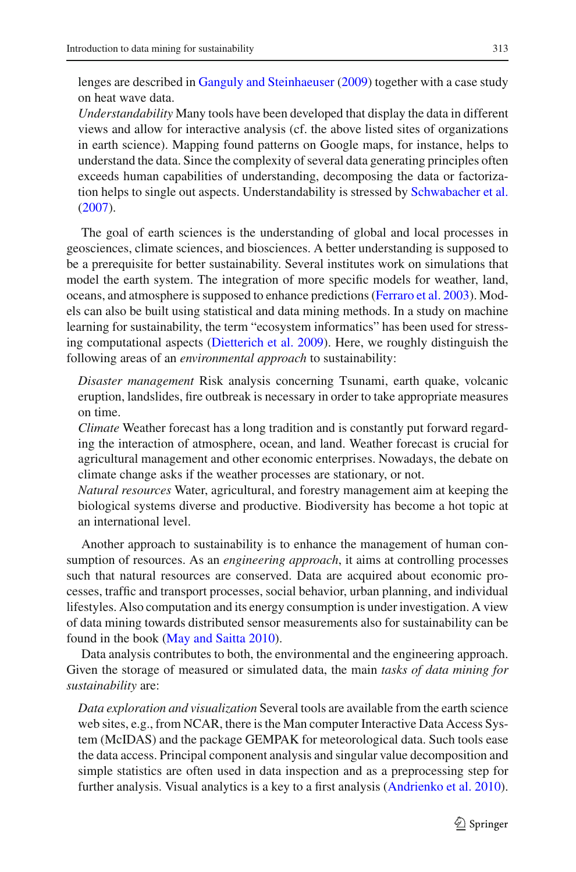lenges are described in [Ganguly and Steinhaeuser](#page-13-1) [\(2009\)](#page-13-1) together with a case study on heat wave data.

*Understandability* Many tools have been developed that display the data in different views and allow for interactive analysis (cf. the above listed sites of organizations in earth science). Mapping found patterns on Google maps, for instance, helps to understand the data. Since the complexity of several data generating principles often exceeds human capabilities of understanding, decomposing the data or factorization helps to single out aspects. Understandability is stressed by [Schwabacher et al.](#page-13-2) [\(2007\)](#page-13-2).

The goal of earth sciences is the understanding of global and local processes in geosciences, climate sciences, and biosciences. A better understanding is supposed to be a prerequisite for better sustainability. Several institutes work on simulations that model the earth system. The integration of more specific models for weather, land, oceans, and atmosphere is supposed to enhance predictions [\(Ferraro et al. 2003](#page-12-0)). Models can also be built using statistical and data mining methods. In a study on machine learning for sustainability, the term "ecosystem informatics" has been used for stressing computational aspects [\(Dietterich et al. 2009](#page-12-1)). Here, we roughly distinguish the following areas of an *environmental approach* to sustainability:

*Disaster management* Risk analysis concerning Tsunami, earth quake, volcanic eruption, landslides, fire outbreak is necessary in order to take appropriate measures on time.

*Climate* Weather forecast has a long tradition and is constantly put forward regarding the interaction of atmosphere, ocean, and land. Weather forecast is crucial for agricultural management and other economic enterprises. Nowadays, the debate on climate change asks if the weather processes are stationary, or not.

*Natural resources* Water, agricultural, and forestry management aim at keeping the biological systems diverse and productive. Biodiversity has become a hot topic at an international level.

Another approach to sustainability is to enhance the management of human consumption of resources. As an *engineering approach*, it aims at controlling processes such that natural resources are conserved. Data are acquired about economic processes, traffic and transport processes, social behavior, urban planning, and individual lifestyles. Also computation and its energy consumption is under investigation. A view of data mining towards distributed sensor measurements also for sustainability can be found in the book [\(May and Saitta 2010\)](#page-13-3).

Data analysis contributes to both, the environmental and the engineering approach. Given the storage of measured or simulated data, the main *tasks of data mining for sustainability* are:

*Data exploration and visualization* Several tools are available from the earth science web sites, e.g., from NCAR, there is the Man computer Interactive Data Access System (McIDAS) and the package GEMPAK for meteorological data. Such tools ease the data access. Principal component analysis and singular value decomposition and simple statistics are often used in data inspection and as a preprocessing step for further analysis. Visual analytics is a key to a first analysis [\(Andrienko et al. 2010](#page-12-2)).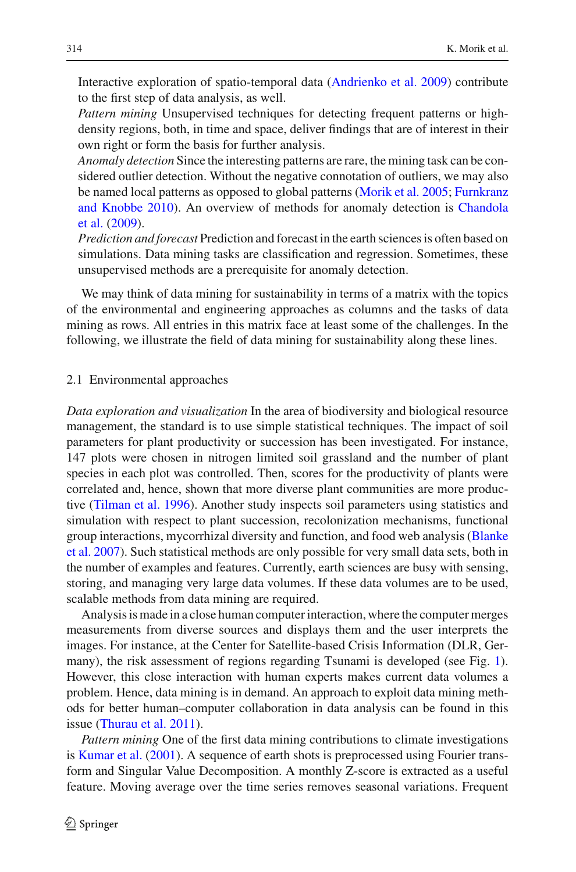Interactive exploration of spatio-temporal data [\(Andrienko et al. 2009](#page-12-3)) contribute to the first step of data analysis, as well.

*Pattern mining* Unsupervised techniques for detecting frequent patterns or highdensity regions, both, in time and space, deliver findings that are of interest in their own right or form the basis for further analysis.

*Anomaly detection* Since the interesting patterns are rare, the mining task can be considered outlier detection. Without the negative connotation of outliers, we may also be named lo[cal](#page-13-5) [patterns](#page-13-5) [as](#page-13-5) [opposed](#page-13-5) [to](#page-13-5) [global](#page-13-5) [patterns](#page-13-5) [\(Morik et al. 2005](#page-13-4)[;](#page-13-5) Furnkranz and [Knobbe](#page-12-4) [2010](#page-13-5)[\).](#page-12-4) [An](#page-12-4) [overview](#page-12-4) [of](#page-12-4) [methods](#page-12-4) [for](#page-12-4) [anomaly](#page-12-4) [detection](#page-12-4) [is](#page-12-4) Chandola et al. [\(2009\)](#page-12-4).

*Prediction and forecast* Prediction and forecast in the earth sciences is often based on simulations. Data mining tasks are classification and regression. Sometimes, these unsupervised methods are a prerequisite for anomaly detection.

We may think of data mining for sustainability in terms of a matrix with the topics of the environmental and engineering approaches as columns and the tasks of data mining as rows. All entries in this matrix face at least some of the challenges. In the following, we illustrate the field of data mining for sustainability along these lines.

#### <span id="page-3-0"></span>2.1 Environmental approaches

*Data exploration and visualization* In the area of biodiversity and biological resource management, the standard is to use simple statistical techniques. The impact of soil parameters for plant productivity or succession has been investigated. For instance, 147 plots were chosen in nitrogen limited soil grassland and the number of plant species in each plot was controlled. Then, scores for the productivity of plants were correlated and, hence, shown that more diverse plant communities are more productive [\(Tilman et al. 1996](#page-13-6)). Another study inspects soil parameters using statistics and simulation with respect to plant succession, recolonization mechanisms, functional grou[p](#page-12-5) [interactions,](#page-12-5) [mycorrhizal](#page-12-5) [diversity](#page-12-5) [and](#page-12-5) [function,](#page-12-5) [and](#page-12-5) [food](#page-12-5) [web](#page-12-5) [analysis](#page-12-5) [\(](#page-12-5)Blanke et al. [2007\)](#page-12-5). Such statistical methods are only possible for very small data sets, both in the number of examples and features. Currently, earth sciences are busy with sensing, storing, and managing very large data volumes. If these data volumes are to be used, scalable methods from data mining are required.

Analysis is made in a close human computer interaction, where the computer merges measurements from diverse sources and displays them and the user interprets the images. For instance, at the Center for Satellite-based Crisis Information (DLR, Germany), the risk assessment of regions regarding Tsunami is developed (see Fig. [1\)](#page-4-0). However, this close interaction with human experts makes current data volumes a problem. Hence, data mining is in demand. An approach to exploit data mining methods for better human–computer collaboration in data analysis can be found in this issue [\(Thurau et al. 2011](#page-13-7)).

*Pattern mining* One of the first data mining contributions to climate investigations is [Kumar et al.](#page-13-8) [\(2001](#page-13-8)). A sequence of earth shots is preprocessed using Fourier transform and Singular Value Decomposition. A monthly Z-score is extracted as a useful feature. Moving average over the time series removes seasonal variations. Frequent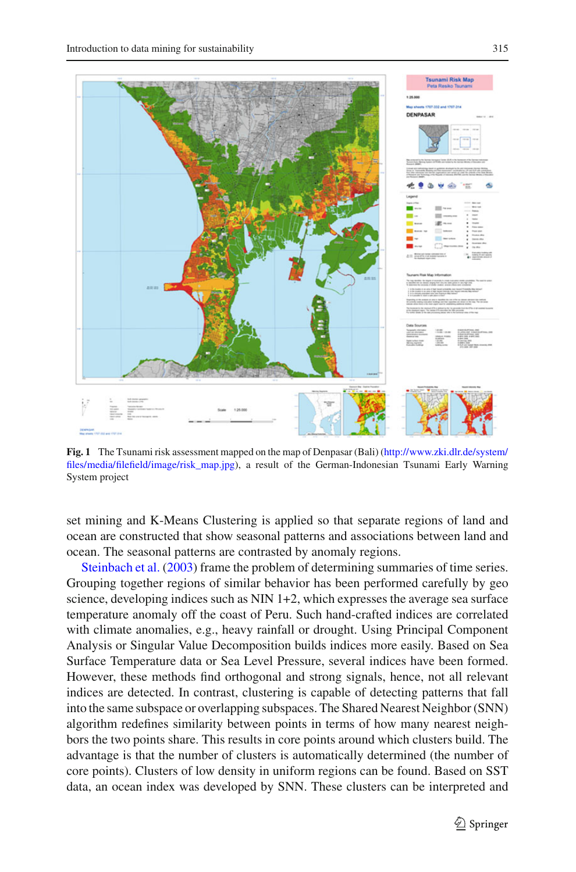

<span id="page-4-0"></span>**Fig. 1** The Tsunami risk assessment mapped on the map of Denpasar (Bali) [\(http://www.zki.dlr.de/system/](http://www.zki.dlr.de/system/files/media/filefield/image/risk_map.jpg) files/media/filefield/image/risk map.jpg), a result of the German-Indonesian Tsunami Early Warning System project

set mining and K-Means Clustering is applied so that separate regions of land and ocean are constructed that show seasonal patterns and associations between land and ocean. The seasonal patterns are contrasted by anomaly regions.

Steinbach et al. [\(2003](#page-13-9)) frame the problem of determining summaries of time series. Grouping together regions of similar behavior has been performed carefully by geo science, developing indices such as NIN 1+2, which expresses the average sea surface temperature anomaly off the coast of Peru. Such hand-crafted indices are correlated with climate anomalies, e.g., heavy rainfall or drought. Using Principal Component Analysis or Singular Value Decomposition builds indices more easily. Based on Sea Surface Temperature data or Sea Level Pressure, several indices have been formed. However, these methods find orthogonal and strong signals, hence, not all relevant indices are detected. In contrast, clustering is capable of detecting patterns that fall into the same subspace or overlapping subspaces. The Shared Nearest Neighbor (SNN) algorithm redefines similarity between points in terms of how many nearest neighbors the two points share. This results in core points around which clusters build. The advantage is that the number of clusters is automatically determined (the number of core points). Clusters of low density in uniform regions can be found. Based on SST data, an ocean index was developed by SNN. These clusters can be interpreted and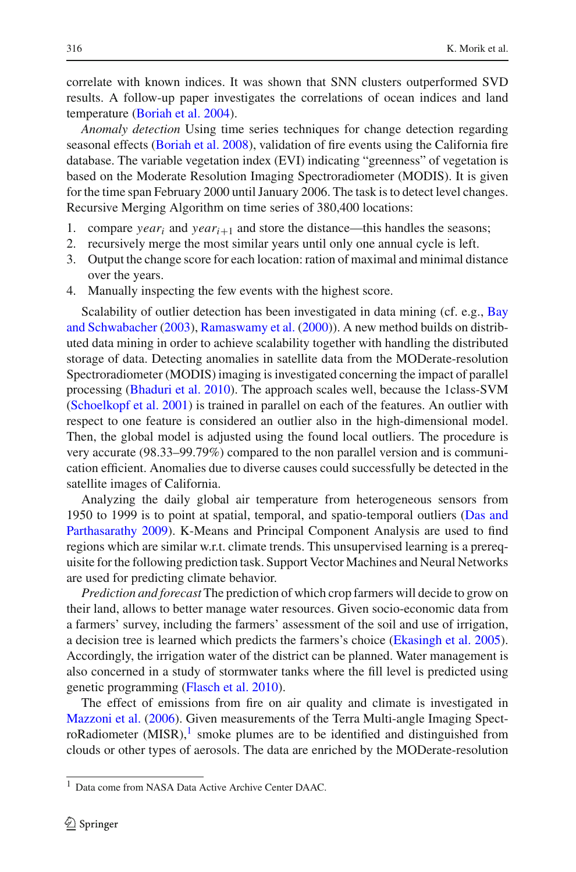correlate with known indices. It was shown that SNN clusters outperformed SVD results. A follow-up paper investigates the correlations of ocean indices and land temperature [\(Boriah et al. 2004\)](#page-12-6).

*Anomaly detection* Using time series techniques for change detection regarding seasonal effects [\(Boriah et al. 2008\)](#page-12-7), validation of fire events using the California fire database. The variable vegetation index (EVI) indicating "greenness" of vegetation is based on the Moderate Resolution Imaging Spectroradiometer (MODIS). It is given for the time span February 2000 until January 2006. The task is to detect level changes. Recursive Merging Algorithm on time series of 380,400 locations:

- 1. compare *year<sub>i</sub>* and *year<sub>i+1</sub>* and store the distance—this handles the seasons;<br>2. recursively merge the most similar years until only one annual cycle is left.
- recursively merge the most similar years until only one annual cycle is left.
- 3. Output the change score for each location: ration of maximal and minimal distance over the years.
- 4. Manually inspecting the few events with the highest score.

Scalability of [outlier](#page-12-8) [detection](#page-12-8) [has](#page-12-8) [been](#page-12-8) [investigated](#page-12-8) [in](#page-12-8) [data](#page-12-8) [mining](#page-12-8) [\(cf.](#page-12-8) [e.g.,](#page-12-8) Bay and Schwabacher [\(2003](#page-12-8)), [Ramaswamy et al.](#page-13-10) [\(2000\)](#page-13-10)). A new method builds on distributed data mining in order to achieve scalability together with handling the distributed storage of data. Detecting anomalies in satellite data from the MODerate-resolution Spectroradiometer (MODIS) imaging is investigated concerning the impact of parallel processing [\(Bhaduri et al. 2010\)](#page-12-9). The approach scales well, because the 1class-SVM [\(Schoelkopf et al. 2001\)](#page-13-11) is trained in parallel on each of the features. An outlier with respect to one feature is considered an outlier also in the high-dimensional model. Then, the global model is adjusted using the found local outliers. The procedure is very accurate (98.33–99.79%) compared to the non parallel version and is communication efficient. Anomalies due to diverse causes could successfully be detected in the satellite images of California.

Analyzing the daily global air temperature from heterogeneous sensors from 1950 to 1999 [is](#page-12-10) [to](#page-12-10) [point](#page-12-10) [at](#page-12-10) [spatial,](#page-12-10) [temporal,](#page-12-10) [and](#page-12-10) [spatio-temporal](#page-12-10) [outliers](#page-12-10) [\(](#page-12-10)Das and Parthasarathy [2009](#page-12-10)). K-Means and Principal Component Analysis are used to find regions which are similar w.r.t. climate trends. This unsupervised learning is a prerequisite for the following prediction task. Support Vector Machines and Neural Networks are used for predicting climate behavior.

*Prediction and forecast* The prediction of which crop farmers will decide to grow on their land, allows to better manage water resources. Given socio-economic data from a farmers' survey, including the farmers' assessment of the soil and use of irrigation, a decision tree is learned which predicts the farmers's choice [\(Ekasingh et al. 2005](#page-12-11)). Accordingly, the irrigation water of the district can be planned. Water management is also concerned in a study of stormwater tanks where the fill level is predicted using genetic programming [\(Flasch et al. 2010](#page-13-12)).

The effect of emissions from fire on air quality and climate is investigated in [Mazzoni et al.](#page-13-13) [\(2006](#page-13-13)). Given measurements of the Terra Multi-angle Imaging SpectroRadiometer (MISR), $<sup>1</sup>$  smoke plumes are to be identified and distinguished from</sup> clouds or other types of aerosols. The data are enriched by the MODerate-resolution

<span id="page-5-0"></span><sup>1</sup> Data come from NASA Data Active Archive Center DAAC.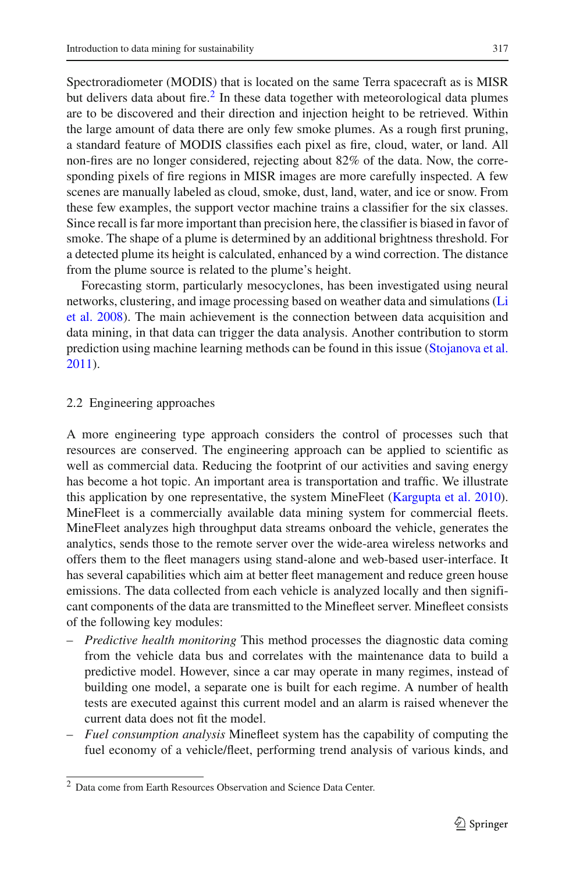Spectroradiometer (MODIS) that is located on the same Terra spacecraft as is MISR but delivers data about fire.<sup>[2](#page-6-1)</sup> In these data together with meteorological data plumes are to be discovered and their direction and injection height to be retrieved. Within the large amount of data there are only few smoke plumes. As a rough first pruning, a standard feature of MODIS classifies each pixel as fire, cloud, water, or land. All non-fires are no longer considered, rejecting about 82% of the data. Now, the corresponding pixels of fire regions in MISR images are more carefully inspected. A few scenes are manually labeled as cloud, smoke, dust, land, water, and ice or snow. From these few examples, the support vector machine trains a classifier for the six classes. Since recall is far more important than precision here, the classifier is biased in favor of smoke. The shape of a plume is determined by an additional brightness threshold. For a detected plume its height is calculated, enhanced by a wind correction. The distance from the plume source is related to the plume's height.

Forecasting storm, particularly mesocyclones, has been investigated using neural netw[orks,](#page-13-14) [clustering,](#page-13-14) [and](#page-13-14) [image](#page-13-14) [processing](#page-13-14) [based](#page-13-14) [on](#page-13-14) [weather](#page-13-14) [data](#page-13-14) [and](#page-13-14) [simulations](#page-13-14) [\(](#page-13-14)Li et al. [2008](#page-13-14)). The main achievement is the connection between data acquisition and data mining, in that data can trigger the data analysis. Another contribution to storm prediction using machine learning methods can be found in this issue [\(Stojanova et al.](#page-13-15) [2011\)](#page-13-15).

# <span id="page-6-0"></span>2.2 Engineering approaches

A more engineering type approach considers the control of processes such that resources are conserved. The engineering approach can be applied to scientific as well as commercial data. Reducing the footprint of our activities and saving energy has become a hot topic. An important area is transportation and traffic. We illustrate this application by one representative, the system MineFleet [\(Kargupta et al. 2010](#page-13-16)). MineFleet is a commercially available data mining system for commercial fleets. MineFleet analyzes high throughput data streams onboard the vehicle, generates the analytics, sends those to the remote server over the wide-area wireless networks and offers them to the fleet managers using stand-alone and web-based user-interface. It has several capabilities which aim at better fleet management and reduce green house emissions. The data collected from each vehicle is analyzed locally and then significant components of the data are transmitted to the Minefleet server. Minefleet consists of the following key modules:

- *Predictive health monitoring* This method processes the diagnostic data coming from the vehicle data bus and correlates with the maintenance data to build a predictive model. However, since a car may operate in many regimes, instead of building one model, a separate one is built for each regime. A number of health tests are executed against this current model and an alarm is raised whenever the current data does not fit the model.
- *Fuel consumption analysis* Minefleet system has the capability of computing the fuel economy of a vehicle/fleet, performing trend analysis of various kinds, and

<span id="page-6-1"></span><sup>2</sup> Data come from Earth Resources Observation and Science Data Center.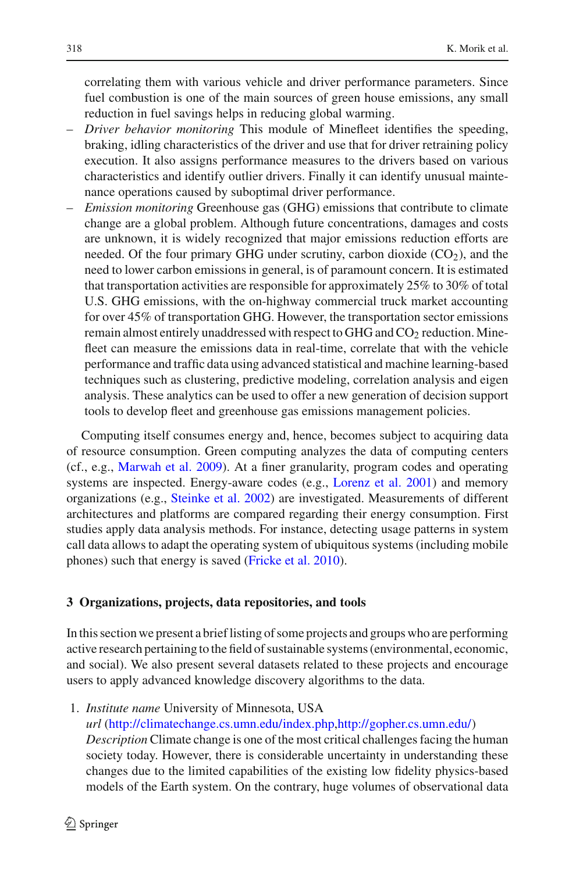correlating them with various vehicle and driver performance parameters. Since fuel combustion is one of the main sources of green house emissions, any small reduction in fuel savings helps in reducing global warming.

- *Driver behavior monitoring* This module of Minefleet identifies the speeding, braking, idling characteristics of the driver and use that for driver retraining policy execution. It also assigns performance measures to the drivers based on various characteristics and identify outlier drivers. Finally it can identify unusual maintenance operations caused by suboptimal driver performance.
- *Emission monitoring* Greenhouse gas (GHG) emissions that contribute to climate change are a global problem. Although future concentrations, damages and costs are unknown, it is widely recognized that major emissions reduction efforts are needed. Of the four primary GHG under scrutiny, carbon dioxide  $(CO<sub>2</sub>)$ , and the need to lower carbon emissions in general, is of paramount concern. It is estimated that transportation activities are responsible for approximately 25% to 30% of total U.S. GHG emissions, with the on-highway commercial truck market accounting for over 45% of transportation GHG. However, the transportation sector emissions remain almost entirely unaddressed with respect to GHG and  $CO<sub>2</sub>$  reduction. Minefleet can measure the emissions data in real-time, correlate that with the vehicle performance and traffic data using advanced statistical and machine learning-based techniques such as clustering, predictive modeling, correlation analysis and eigen analysis. These analytics can be used to offer a new generation of decision support tools to develop fleet and greenhouse gas emissions management policies.

Computing itself consumes energy and, hence, becomes subject to acquiring data of resource consumption. Green computing analyzes the data of computing centers (cf., e.g., [Marwah et al. 2009\)](#page-13-17). At a finer granularity, program codes and operating systems are inspected. Energy-aware codes (e.g., [Lorenz et al. 2001](#page-13-18)) and memory organizations (e.g., [Steinke et al. 2002](#page-13-19)) are investigated. Measurements of different architectures and platforms are compared regarding their energy consumption. First studies apply data analysis methods. For instance, detecting usage patterns in system call data allows to adapt the operating system of ubiquitous systems (including mobile phones) such that energy is saved [\(Fricke et al. 2010](#page-13-20)).

### <span id="page-7-0"></span>**3 Organizations, projects, data repositories, and tools**

In this section we present a brief listing of some projects and groups who are performing active research pertaining to the field of sustainable systems (environmental, economic, and social). We also present several datasets related to these projects and encourage users to apply advanced knowledge discovery algorithms to the data.

1. *Institute name* University of Minnesota, USA

*url* [\(http://climatechange.cs.umn.edu/index.php,](http://climatechange.cs.umn.edu/index.php)[http://gopher.cs.umn.edu/\)](http://gopher.cs.umn.edu/) *Description* Climate change is one of the most critical challenges facing the human society today. However, there is considerable uncertainty in understanding these changes due to the limited capabilities of the existing low fidelity physics-based models of the Earth system. On the contrary, huge volumes of observational data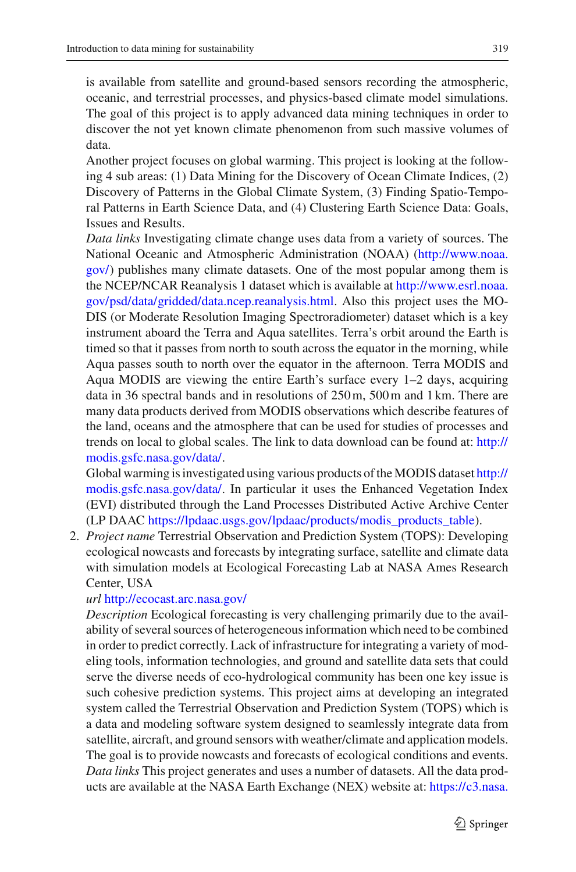is available from satellite and ground-based sensors recording the atmospheric, oceanic, and terrestrial processes, and physics-based climate model simulations. The goal of this project is to apply advanced data mining techniques in order to discover the not yet known climate phenomenon from such massive volumes of data.

Another project focuses on global warming. This project is looking at the following 4 sub areas: (1) Data Mining for the Discovery of Ocean Climate Indices, (2) Discovery of Patterns in the Global Climate System, (3) Finding Spatio-Temporal Patterns in Earth Science Data, and (4) Clustering Earth Science Data: Goals, Issues and Results.

*Data links* Investigating climate change uses data from a variety of sources. The National Oceanic and Atmospheric Administration (NOAA) [\(http://www.noaa.](http://www.noaa.gov/) [gov/\)](http://www.noaa.gov/) publishes many climate datasets. One of the most popular among them is the NCEP/NCAR Reanalysis 1 dataset which is available at [http://www.esrl.noaa.](http://www.esrl.noaa.gov/psd/data/gridded/data.ncep.reanalysis.html) [gov/psd/data/gridded/data.ncep.reanalysis.html.](http://www.esrl.noaa.gov/psd/data/gridded/data.ncep.reanalysis.html) Also this project uses the MO-DIS (or Moderate Resolution Imaging Spectroradiometer) dataset which is a key instrument aboard the Terra and Aqua satellites. Terra's orbit around the Earth is timed so that it passes from north to south across the equator in the morning, while Aqua passes south to north over the equator in the afternoon. Terra MODIS and Aqua MODIS are viewing the entire Earth's surface every 1–2 days, acquiring data in 36 spectral bands and in resolutions of 250 m, 500 m and 1 km. There are many data products derived from MODIS observations which describe features of the land, oceans and the atmosphere that can be used for studies of processes and trends on local to global scales. The link to data download can be found at: [http://](http://modis.gsfc.nasa.gov/data/) [modis.gsfc.nasa.gov/data/.](http://modis.gsfc.nasa.gov/data/)

Global warming is investigated using various products of the MODIS dataset [http://](http://modis.gsfc.nasa.gov/data/) [modis.gsfc.nasa.gov/data/.](http://modis.gsfc.nasa.gov/data/) In particular it uses the Enhanced Vegetation Index (EVI) distributed through the Land Processes Distributed Active Archive Center (LP DAAC [https://lpdaac.usgs.gov/lpdaac/products/modis\\_products\\_table\)](https://lpdaac.usgs.gov/lpdaac/products/modis_products_table).

2. *Project name* Terrestrial Observation and Prediction System (TOPS): Developing ecological nowcasts and forecasts by integrating surface, satellite and climate data with simulation models at Ecological Forecasting Lab at NASA Ames Research Center, USA

# *url* <http://ecocast.arc.nasa.gov/>

*Description* Ecological forecasting is very challenging primarily due to the availability of several sources of heterogeneous information which need to be combined in order to predict correctly. Lack of infrastructure for integrating a variety of modeling tools, information technologies, and ground and satellite data sets that could serve the diverse needs of eco-hydrological community has been one key issue is such cohesive prediction systems. This project aims at developing an integrated system called the Terrestrial Observation and Prediction System (TOPS) which is a data and modeling software system designed to seamlessly integrate data from satellite, aircraft, and ground sensors with weather/climate and application models. The goal is to provide nowcasts and forecasts of ecological conditions and events. *Data links* This project generates and uses a number of datasets. All the data products are available at the NASA Earth Exchange (NEX) website at: [https://c3.nasa.](https://c3.nasa.gov/nex/)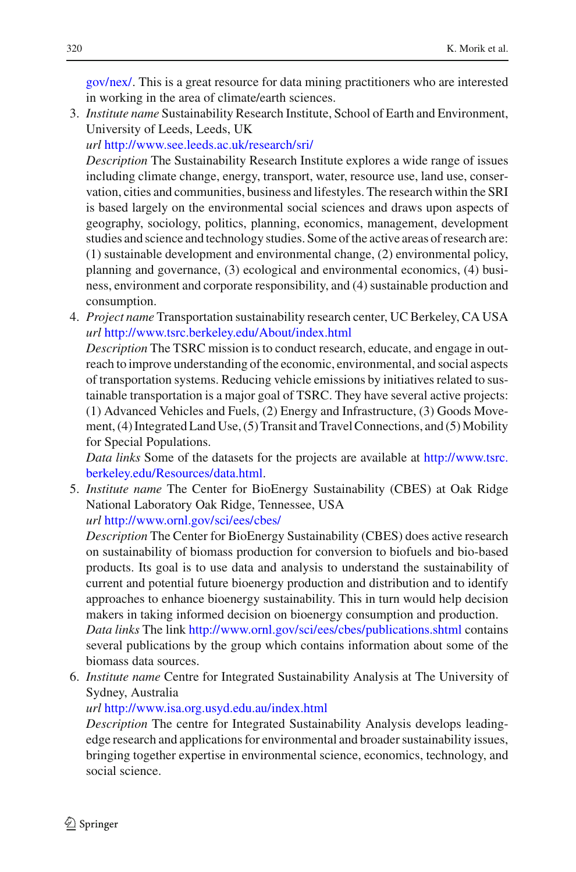[gov/nex/.](https://c3.nasa.gov/nex/) This is a great resource for data mining practitioners who are interested in working in the area of climate/earth sciences.

3. *Institute name* Sustainability Research Institute, School of Earth and Environment, University of Leeds, Leeds, UK

*url* <http://www.see.leeds.ac.uk/research/sri/>

*Description* The Sustainability Research Institute explores a wide range of issues including climate change, energy, transport, water, resource use, land use, conservation, cities and communities, business and lifestyles. The research within the SRI is based largely on the environmental social sciences and draws upon aspects of geography, sociology, politics, planning, economics, management, development studies and science and technology studies. Some of the active areas of research are: (1) sustainable development and environmental change, (2) environmental policy, planning and governance, (3) ecological and environmental economics, (4) business, environment and corporate responsibility, and (4) sustainable production and consumption.

4. *Project name* Transportation sustainability research center, UC Berkeley, CA USA *url* <http://www.tsrc.berkeley.edu/About/index.html>

*Description* The TSRC mission is to conduct research, educate, and engage in outreach to improve understanding of the economic, environmental, and social aspects of transportation systems. Reducing vehicle emissions by initiatives related to sustainable transportation is a major goal of TSRC. They have several active projects: (1) Advanced Vehicles and Fuels, (2) Energy and Infrastructure, (3) Goods Movement,  $(4)$  Integrated Land Use,  $(5)$  Transit and Travel Connections, and  $(5)$  Mobility for Special Populations.

*Data links* Some of the datasets for the projects are available at [http://www.tsrc.](http://www.tsrc.berkeley.edu/Resources/data.html) [berkeley.edu/Resources/data.html.](http://www.tsrc.berkeley.edu/Resources/data.html)

5. *Institute name* The Center for BioEnergy Sustainability (CBES) at Oak Ridge National Laboratory Oak Ridge, Tennessee, USA *url* <http://www.ornl.gov/sci/ees/cbes/>

*Description* The Center for BioEnergy Sustainability (CBES) does active research on sustainability of biomass production for conversion to biofuels and bio-based products. Its goal is to use data and analysis to understand the sustainability of current and potential future bioenergy production and distribution and to identify approaches to enhance bioenergy sustainability. This in turn would help decision makers in taking informed decision on bioenergy consumption and production. *Data links* The link <http://www.ornl.gov/sci/ees/cbes/publications.shtml> contains

several publications by the group which contains information about some of the biomass data sources.

6. *Institute name* Centre for Integrated Sustainability Analysis at The University of Sydney, Australia

*url* <http://www.isa.org.usyd.edu.au/index.html>

*Description* The centre for Integrated Sustainability Analysis develops leadingedge research and applications for environmental and broader sustainability issues, bringing together expertise in environmental science, economics, technology, and social science.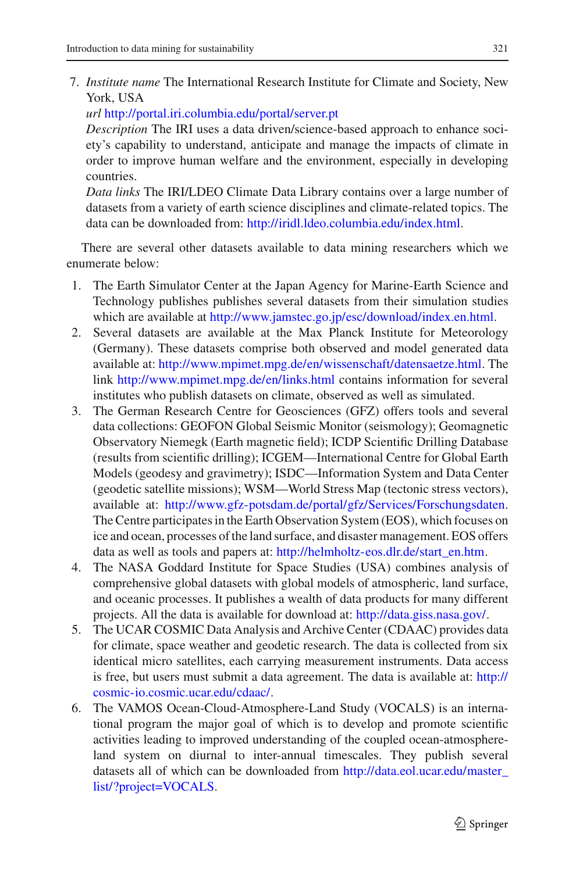7. *Institute name* The International Research Institute for Climate and Society, New York, USA

*url* <http://portal.iri.columbia.edu/portal/server.pt>

*Description* The IRI uses a data driven/science-based approach to enhance society's capability to understand, anticipate and manage the impacts of climate in order to improve human welfare and the environment, especially in developing countries.

*Data links* The IRI/LDEO Climate Data Library contains over a large number of datasets from a variety of earth science disciplines and climate-related topics. The data can be downloaded from: [http://iridl.ldeo.columbia.edu/index.html.](http://iridl.ldeo.columbia.edu/index.html)

There are several other datasets available to data mining researchers which we enumerate below:

- 1. The Earth Simulator Center at the Japan Agency for Marine-Earth Science and Technology publishes publishes several datasets from their simulation studies which are available at [http://www.jamstec.go.jp/esc/download/index.en.html.](http://www.jamstec.go.jp/esc/download/index.en.html)
- 2. Several datasets are available at the Max Planck Institute for Meteorology (Germany). These datasets comprise both observed and model generated data available at: [http://www.mpimet.mpg.de/en/wissenschaft/datensaetze.html.](http://www.mpimet.mpg.de/en/wissenschaft/datensaetze.html) The link <http://www.mpimet.mpg.de/en/links.html> contains information for several institutes who publish datasets on climate, observed as well as simulated.
- 3. The German Research Centre for Geosciences (GFZ) offers tools and several data collections: GEOFON Global Seismic Monitor (seismology); Geomagnetic Observatory Niemegk (Earth magnetic field); ICDP Scientific Drilling Database (results from scientific drilling); ICGEM—International Centre for Global Earth Models (geodesy and gravimetry); ISDC—Information System and Data Center (geodetic satellite missions); WSM—World Stress Map (tectonic stress vectors), available at: [http://www.gfz-potsdam.de/portal/gfz/Services/Forschungsdaten.](http://www.gfz-potsdam.de/portal/gfz/Services/Forschungsdaten) The Centre participates in the Earth Observation System (EOS), which focuses on ice and ocean, processes of the land surface, and disaster management. EOS offers data as well as tools and papers at: [http://helmholtz-eos.dlr.de/start\\_en.htm.](http://helmholtz-eos.dlr.de/start_en.htm)
- 4. The NASA Goddard Institute for Space Studies (USA) combines analysis of comprehensive global datasets with global models of atmospheric, land surface, and oceanic processes. It publishes a wealth of data products for many different projects. All the data is available for download at: [http://data.giss.nasa.gov/.](http://data.giss.nasa.gov/)
- 5. The UCAR COSMIC Data Analysis and Archive Center (CDAAC) provides data for climate, space weather and geodetic research. The data is collected from six identical micro satellites, each carrying measurement instruments. Data access is free, but users must submit a data agreement. The data is available at: [http://](http://cosmic-io.cosmic.ucar.edu/cdaac/) [cosmic-io.cosmic.ucar.edu/cdaac/.](http://cosmic-io.cosmic.ucar.edu/cdaac/)
- 6. The VAMOS Ocean-Cloud-Atmosphere-Land Study (VOCALS) is an international program the major goal of which is to develop and promote scientific activities leading to improved understanding of the coupled ocean-atmosphereland system on diurnal to inter-annual timescales. They publish several datasets all of which can be downloaded from [http://data.eol.ucar.edu/master\\_](http://data.eol.ucar.edu/master_list/?project=VOCALS) [list/?project=VOCALS.](http://data.eol.ucar.edu/master_list/?project=VOCALS)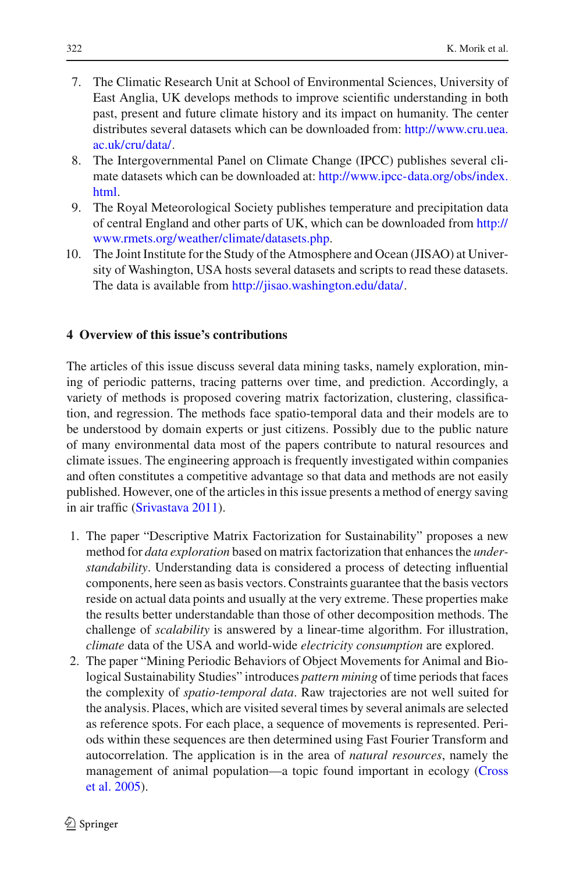- 7. The Climatic Research Unit at School of Environmental Sciences, University of East Anglia, UK develops methods to improve scientific understanding in both past, present and future climate history and its impact on humanity. The center distributes several datasets which can be downloaded from: [http://www.cru.uea.](http://www.cru.uea.ac.uk/cru/data/) [ac.uk/cru/data/.](http://www.cru.uea.ac.uk/cru/data/)
- 8. The Intergovernmental Panel on Climate Change (IPCC) publishes several climate datasets which can be downloaded at: [http://www.ipcc-data.org/obs/index.](http://www.ipcc-data.org/obs/index.html) [html.](http://www.ipcc-data.org/obs/index.html)
- 9. The Royal Meteorological Society publishes temperature and precipitation data of central England and other parts of UK, which can be downloaded from [http://](http://www.rmets.org/weather/climate/datasets.php) [www.rmets.org/weather/climate/datasets.php.](http://www.rmets.org/weather/climate/datasets.php)
- 10. The Joint Institute for the Study of the Atmosphere and Ocean (JISAO) at University of Washington, USA hosts several datasets and scripts to read these datasets. The data is available from [http://jisao.washington.edu/data/.](http://jisao.washington.edu/data/)

# <span id="page-11-0"></span>**4 Overview of this issue's contributions**

The articles of this issue discuss several data mining tasks, namely exploration, mining of periodic patterns, tracing patterns over time, and prediction. Accordingly, a variety of methods is proposed covering matrix factorization, clustering, classification, and regression. The methods face spatio-temporal data and their models are to be understood by domain experts or just citizens. Possibly due to the public nature of many environmental data most of the papers contribute to natural resources and climate issues. The engineering approach is frequently investigated within companies and often constitutes a competitive advantage so that data and methods are not easily published. However, one of the articles in this issue presents a method of energy saving in air traffic [\(Srivastava 2011\)](#page-13-21).

- 1. The paper "Descriptive Matrix Factorization for Sustainability" proposes a new method for *data exploration* based on matrix factorization that enhances the *understandability*. Understanding data is considered a process of detecting influential components, here seen as basis vectors. Constraints guarantee that the basis vectors reside on actual data points and usually at the very extreme. These properties make the results better understandable than those of other decomposition methods. The challenge of *scalability* is answered by a linear-time algorithm. For illustration, *climate* data of the USA and world-wide *electricity consumption* are explored.
- 2. The paper "Mining Periodic Behaviors of Object Movements for Animal and Biological Sustainability Studies" introduces *pattern mining* of time periods that faces the complexity of *spatio-temporal data*. Raw trajectories are not well suited for the analysis. Places, which are visited several times by several animals are selected as reference spots. For each place, a sequence of movements is represented. Periods within these sequences are then determined using Fast Fourier Transform and autocorrelation. The application is in the area of *natural resources*, namely the man[agement](#page-12-12) [of](#page-12-12) [animal](#page-12-12) [population—a](#page-12-12) [topic](#page-12-12) [found](#page-12-12) [important](#page-12-12) [in](#page-12-12) [ecology](#page-12-12) [\(](#page-12-12)Cross et al. [2005](#page-12-12)).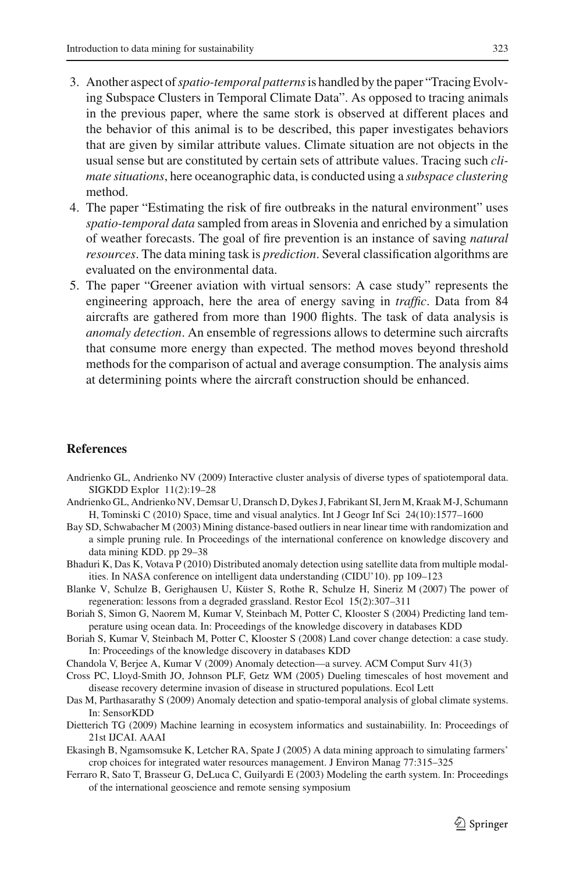- 3. Another aspect of*spatio-temporal patterns*is handled by the paper "Tracing Evolving Subspace Clusters in Temporal Climate Data". As opposed to tracing animals in the previous paper, where the same stork is observed at different places and the behavior of this animal is to be described, this paper investigates behaviors that are given by similar attribute values. Climate situation are not objects in the usual sense but are constituted by certain sets of attribute values. Tracing such *climate situations*, here oceanographic data, is conducted using a *subspace clustering* method.
- 4. The paper "Estimating the risk of fire outbreaks in the natural environment" uses *spatio-temporal data* sampled from areas in Slovenia and enriched by a simulation of weather forecasts. The goal of fire prevention is an instance of saving *natural resources*. The data mining task is *prediction*. Several classification algorithms are evaluated on the environmental data.
- 5. The paper "Greener aviation with virtual sensors: A case study" represents the engineering approach, here the area of energy saving in *traffic*. Data from 84 aircrafts are gathered from more than 1900 flights. The task of data analysis is *anomaly detection*. An ensemble of regressions allows to determine such aircrafts that consume more energy than expected. The method moves beyond threshold methods for the comparison of actual and average consumption. The analysis aims at determining points where the aircraft construction should be enhanced.

## **References**

- <span id="page-12-3"></span>Andrienko GL, Andrienko NV (2009) Interactive cluster analysis of diverse types of spatiotemporal data. SIGKDD Explor 11(2):19–28
- <span id="page-12-2"></span>Andrienko GL, Andrienko NV, Demsar U, Dransch D, Dykes J, Fabrikant SI, Jern M, Kraak M-J, Schumann H, Tominski C (2010) Space, time and visual analytics. Int J Geogr Inf Sci 24(10):1577–1600
- <span id="page-12-8"></span>Bay SD, Schwabacher M (2003) Mining distance-based outliers in near linear time with randomization and a simple pruning rule. In Proceedings of the international conference on knowledge discovery and data mining KDD. pp 29–38
- <span id="page-12-9"></span>Bhaduri K, Das K, Votava P (2010) Distributed anomaly detection using satellite data from multiple modalities. In NASA conference on intelligent data understanding (CIDU'10). pp 109–123
- <span id="page-12-5"></span>Blanke V, Schulze B, Gerighausen U, Küster S, Rothe R, Schulze H, Sineriz M (2007) The power of regeneration: lessons from a degraded grassland. Restor Ecol 15(2):307–311
- <span id="page-12-6"></span>Boriah S, Simon G, Naorem M, Kumar V, Steinbach M, Potter C, Klooster S (2004) Predicting land temperature using ocean data. In: Proceedings of the knowledge discovery in databases KDD
- <span id="page-12-7"></span>Boriah S, Kumar V, Steinbach M, Potter C, Klooster S (2008) Land cover change detection: a case study. In: Proceedings of the knowledge discovery in databases KDD
- <span id="page-12-4"></span>Chandola V, Berjee A, Kumar V (2009) Anomaly detection—a survey. ACM Comput Surv 41(3)
- <span id="page-12-12"></span>Cross PC, Lloyd-Smith JO, Johnson PLF, Getz WM (2005) Dueling timescales of host movement and disease recovery determine invasion of disease in structured populations. Ecol Lett
- <span id="page-12-10"></span>Das M, Parthasarathy S (2009) Anomaly detection and spatio-temporal analysis of global climate systems. In: SensorKDD
- <span id="page-12-1"></span>Dietterich TG (2009) Machine learning in ecosystem informatics and sustainabiility. In: Proceedings of 21st IJCAI. AAAI
- <span id="page-12-11"></span>Ekasingh B, Ngamsomsuke K, Letcher RA, Spate J (2005) A data mining approach to simulating farmers' crop choices for integrated water resources management. J Environ Manag 77:315–325
- <span id="page-12-0"></span>Ferraro R, Sato T, Brasseur G, DeLuca C, Guilyardi E (2003) Modeling the earth system. In: Proceedings of the international geoscience and remote sensing symposium